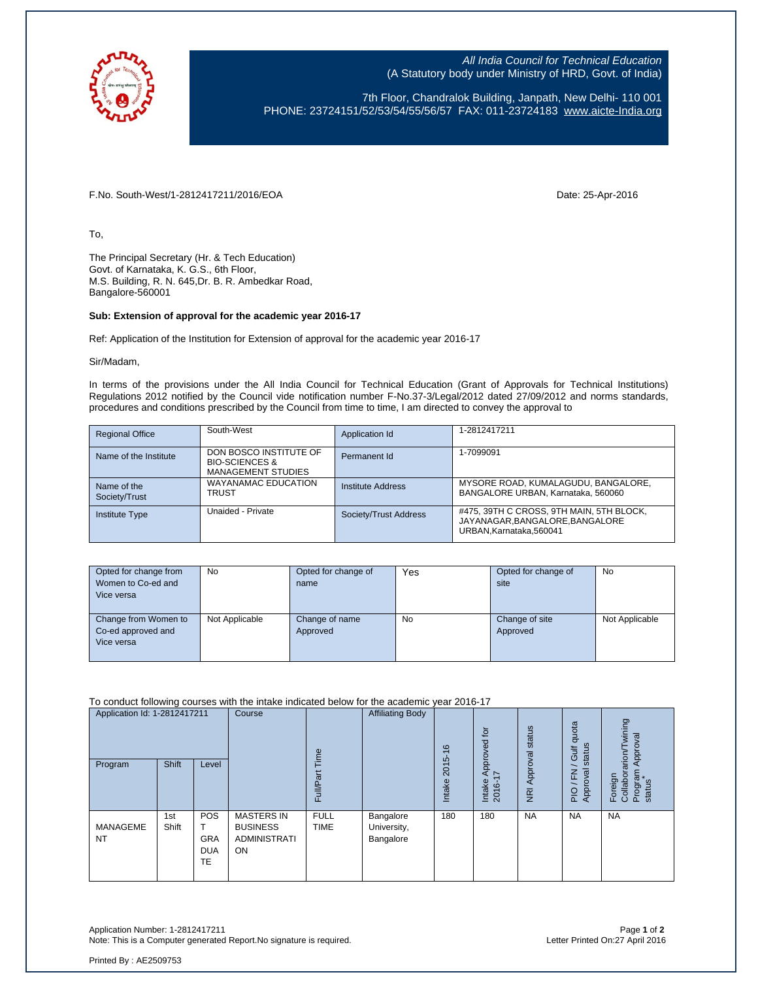

All India Council for Technical Education (A Statutory body under Ministry of HRD, Govt. of India)

7th Floor, Chandralok Building, Janpath, New Delhi- 110 001 PHONE: 23724151/52/53/54/55/56/57 FAX: 011-23724183 [www.aicte-India.org](http://www.aicte-india.org/)

F.No. South-West/1-2812417211/2016/EOA Date: 25-Apr-2016

To,

The Principal Secretary (Hr. & Tech Education) Govt. of Karnataka, K. G.S., 6th Floor, M.S. Building, R. N. 645,Dr. B. R. Ambedkar Road, Bangalore-560001

## **Sub: Extension of approval for the academic year 2016-17**

Ref: Application of the Institution for Extension of approval for the academic year 2016-17

Sir/Madam,

In terms of the provisions under the All India Council for Technical Education (Grant of Approvals for Technical Institutions) Regulations 2012 notified by the Council vide notification number F-No.37-3/Legal/2012 dated 27/09/2012 and norms standards, procedures and conditions prescribed by the Council from time to time, I am directed to convey the approval to

| <b>Regional Office</b>       | South-West                                                                       | Application Id        | 1-2812417211                                                                                          |
|------------------------------|----------------------------------------------------------------------------------|-----------------------|-------------------------------------------------------------------------------------------------------|
| Name of the Institute        | DON BOSCO INSTITUTE OF<br><b>BIO-SCIENCES &amp;</b><br><b>MANAGEMENT STUDIES</b> | Permanent Id          | 1-7099091                                                                                             |
| Name of the<br>Society/Trust | WAYANAMAC EDUCATION<br><b>TRUST</b>                                              | Institute Address     | MYSORE ROAD, KUMALAGUDU, BANGALORE,<br>BANGALORE URBAN, Karnataka, 560060                             |
| <b>Institute Type</b>        | Unaided - Private                                                                | Society/Trust Address | #475, 39TH C CROSS, 9TH MAIN, 5TH BLOCK,<br>JAYANAGAR, BANGALORE, BANGALORE<br>URBAN.Karnataka.560041 |

| Opted for change from<br>Women to Co-ed and<br>Vice versa | <b>No</b>      | Opted for change of<br>name | Yes | Opted for change of<br>site | <b>No</b>      |
|-----------------------------------------------------------|----------------|-----------------------------|-----|-----------------------------|----------------|
| Change from Women to<br>Co-ed approved and<br>Vice versa  | Not Applicable | Change of name<br>Approved  | No  | Change of site<br>Approved  | Not Applicable |

To conduct following courses with the intake indicated below for the academic year 2016-17

| Application Id: 1-2812417211<br>Program | Shift        | Level                                        | Course                                                                   | Time<br>Έ<br>Full/P <sub>3</sub> | <b>Affiliating Body</b>               | $\frac{6}{5}$<br>2015<br>Intake | tor<br>Approved<br>I7<br>Intake<br>2016- | NRI Approval status | quota<br>status<br>Gulf<br>ख्र<br>준<br>Approv<br>$\frac{O}{P}$ | wining<br>Approval<br>Foreign<br>Collaborarion/T<br>Program<br>status |
|-----------------------------------------|--------------|----------------------------------------------|--------------------------------------------------------------------------|----------------------------------|---------------------------------------|---------------------------------|------------------------------------------|---------------------|----------------------------------------------------------------|-----------------------------------------------------------------------|
| <b>MANAGEME</b><br><b>NT</b>            | 1st<br>Shift | <b>POS</b><br><b>GRA</b><br><b>DUA</b><br>TE | <b>MASTERS IN</b><br><b>BUSINESS</b><br><b>ADMINISTRATI</b><br><b>ON</b> | <b>FULL</b><br><b>TIME</b>       | Bangalore<br>University,<br>Bangalore | 180                             | 180                                      | <b>NA</b>           | <b>NA</b>                                                      | <b>NA</b>                                                             |

Application Number: 1-2812417211 Page **1** of **2** Note: This is a Computer generated Report. No signature is required.